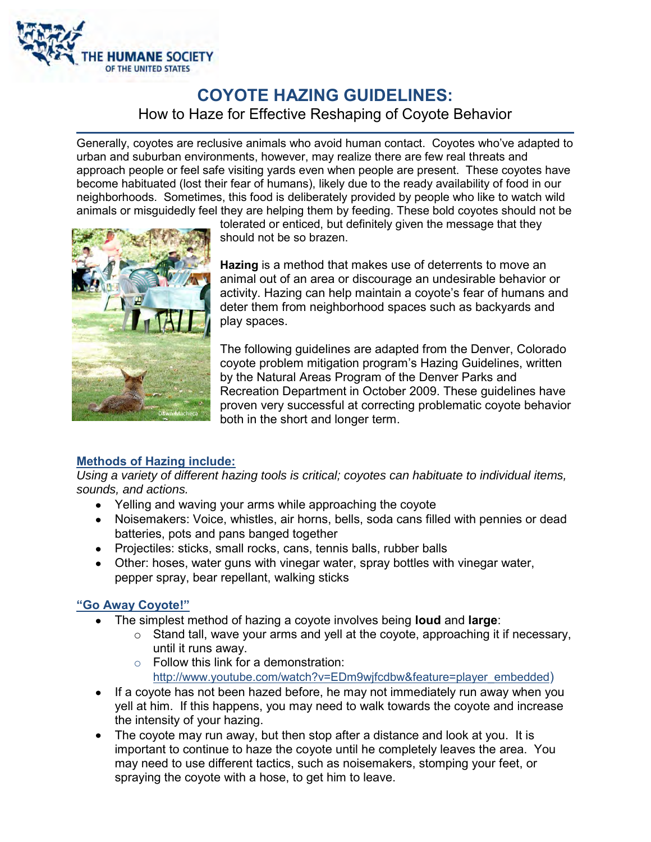

# **COYOTE HAZING GUIDELINES:**  How to Haze for Effective Reshaping of Coyote Behavior

Generally, coyotes are reclusive animals who avoid human contact. Coyotes who've adapted to urban and suburban environments, however, may realize there are few real threats and approach people or feel safe visiting yards even when people are present. These coyotes have become habituated (lost their fear of humans), likely due to the ready availability of food in our neighborhoods. Sometimes, this food is deliberately provided by people who like to watch wild animals or misguidedly feel they are helping them by feeding. These bold coyotes should not be



tolerated or enticed, but definitely given the message that they should not be so brazen.

**Hazing** is a method that makes use of deterrents to move an animal out of an area or discourage an undesirable behavior or activity. Hazing can help maintain a coyote's fear of humans and deter them from neighborhood spaces such as backyards and play spaces.

The following guidelines are adapted from the Denver, Colorado coyote problem mitigation program's Hazing Guidelines, written by the Natural Areas Program of the Denver Parks and Recreation Department in October 2009. These guidelines have proven very successful at correcting problematic coyote behavior both in the short and longer term.

# **Methods of Hazing include:**

*Using a variety of different hazing tools is critical; coyotes can habituate to individual items, sounds, and actions.* 

- Yelling and waving your arms while approaching the coyote
- Noisemakers: Voice, whistles, air horns, bells, soda cans filled with pennies or dead batteries, pots and pans banged together
- Projectiles: sticks, small rocks, cans, tennis balls, rubber balls
- Other: hoses, water guns with vinegar water, spray bottles with vinegar water, pepper spray, bear repellant, walking sticks

# "Go Away Coyote!"

- The simplest method of hazing a coyote involves being **loud** and **large**:
	- $\circ$  Stand tall, wave your arms and yell at the coyote, approaching it if necessary, until it runs away.
	- $\circ$  Follow this link for a demonstration: [http://www.youtube.com/watch?v=EDm9wjfcdbw&feature=player\\_embedded](http://www.youtube.com/watch?v=EDm9wjfcdbw&feature=player_embedded))
- If a coyote has not been hazed before, he may not immediately run away when you yell at him. If this happens, you may need to walk towards the coyote and increase the intensity of your hazing.
- The coyote may run away, but then stop after a distance and look at you. It is important to continue to haze the coyote until he completely leaves the area. You may need to use different tactics, such as noisemakers, stomping your feet, or spraying the coyote with a hose, to get him to leave.